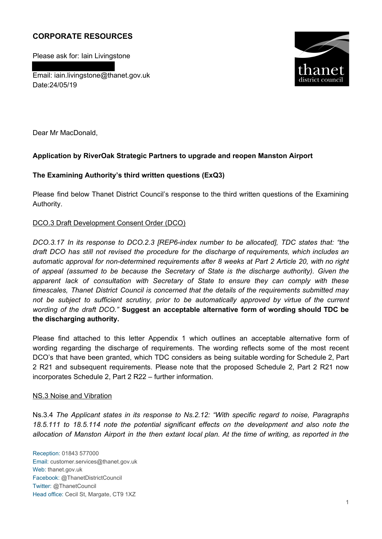# **CORPORATE RESOURCES**

Please ask for: Iain Livingstone

Email: iain.livingstone@thanet.gov.uk Date:24/05/19



Dear Mr MacDonald,

## **Application by RiverOak Strategic Partners to upgrade and reopen Manston Airport**

## **The Examining Authority's third written questions (ExQ3)**

Please find below Thanet District Council's response to the third written questions of the Examining Authority.

## DCO.3 Draft Development Consent Order (DCO)

*DCO.3.17 In its response to DCO.2.3 [REP6-index number to be allocated], TDC states that: "the draft DCO has still not revised the procedure for the discharge of requirements, which includes an automatic approval for non-determined requirements after 8 weeks at Part 2 Article 20, with no right of appeal (assumed to be because the Secretary of State is the discharge authority). Given the*  apparent lack of consultation with Secretary of State to ensure they can comply with these *timescales, Thanet District Council is concerned that the details of the requirements submitted may not be subject to sufficient scrutiny, prior to be automatically approved by virtue of the current wording of the draft DCO."* **Suggest an acceptable alternative form of wording should TDC be the discharging authority.** 

Please find attached to this letter Appendix 1 which outlines an acceptable alternative form of wording regarding the discharge of requirements. The wording reflects some of the most recent DCO's that have been granted, which TDC considers as being suitable wording for Schedule 2, Part 2 R21 and subsequent requirements. Please note that the proposed Schedule 2, Part 2 R21 now incorporates Schedule 2, Part 2 R22 – further information.

## NS.3 Noise and Vibration

Ns.3.4 *The Applicant states in its response to Ns.2.12: "With specific regard to noise, Paragraphs 18.5.111 to 18.5.114 note the potential significant effects on the development and also note the allocation of Manston Airport in the then extant local plan. At the time of writing, as reported in the* 

Reception: 01843 577000 Email: customer.services@thanet.gov.uk Web: thanet.gov.uk Facebook: @ThanetDistrictCouncil Twitter: @ThanetCouncil Head office: Cecil St, Margate, CT9 1XZ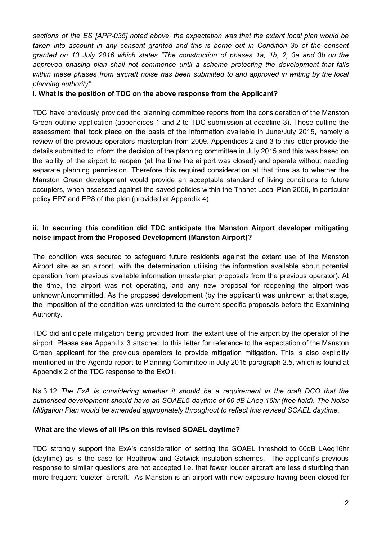*sections of the ES [APP-035] noted above, the expectation was that the extant local plan would be taken into account in any consent granted and this is borne out in Condition 35 of the consent* granted on 13 July 2016 which states "The construction of phases 1a, 1b, 2, 3a and 3b on the *approved phasing plan shall not commence until a scheme protecting the development that falls within these phases from aircraft noise has been submitted to and approved in writing by the local planning authority".*

## **i. What is the position of TDC on the above response from the Applicant?**

TDC have previously provided the planning committee reports from the consideration of the Manston Green outline application (appendices 1 and 2 to TDC submission at deadline 3). These outline the assessment that took place on the basis of the information available in June/July 2015, namely a review of the previous operators masterplan from 2009. Appendices 2 and 3 to this letter provide the details submitted to inform the decision of the planning committee in July 2015 and this was based on the ability of the airport to reopen (at the time the airport was closed) and operate without needing separate planning permission. Therefore this required consideration at that time as to whether the Manston Green development would provide an acceptable standard of living conditions to future occupiers, when assessed against the saved policies within the Thanet Local Plan 2006, in particular policy EP7 and EP8 of the plan (provided at Appendix 4).

# **ii. In securing this condition did TDC anticipate the Manston Airport developer mitigating noise impact from the Proposed Development (Manston Airport)?**

The condition was secured to safeguard future residents against the extant use of the Manston Airport site as an airport, with the determination utilising the information available about potential operation from previous available information (masterplan proposals from the previous operator). At the time, the airport was not operating, and any new proposal for reopening the airport was unknown/uncommitted. As the proposed development (by the applicant) was unknown at that stage, the imposition of the condition was unrelated to the current specific proposals before the Examining Authority.

TDC did anticipate mitigation being provided from the extant use of the airport by the operator of the airport. Please see Appendix 3 attached to this letter for reference to the expectation of the Manston Green applicant for the previous operators to provide mitigation mitigation. This is also explicitly mentioned in the Agenda report to Planning Committee in July 2015 paragraph 2.5, which is found at Appendix 2 of the TDC response to the ExQ1.

Ns.3.12 *The ExA is considering whether it should be a requirement in the draft DCO that the authorised development should have an SOAEL5 daytime of 60 dB LAeq,16hr (free field). The Noise Mitigation Plan would be amended appropriately throughout to reflect this revised SOAEL daytime.*

## **What are the views of all IPs on this revised SOAEL daytime?**

TDC strongly support the ExA's consideration of setting the SOAEL threshold to 60dB LAeq16hr (daytime) as is the case for Heathrow and Gatwick insulation schemes. The applicant's previous response to similar questions are not accepted i.e. that fewer louder aircraft are less disturbing than more frequent 'quieter' aircraft. As Manston is an airport with new exposure having been closed for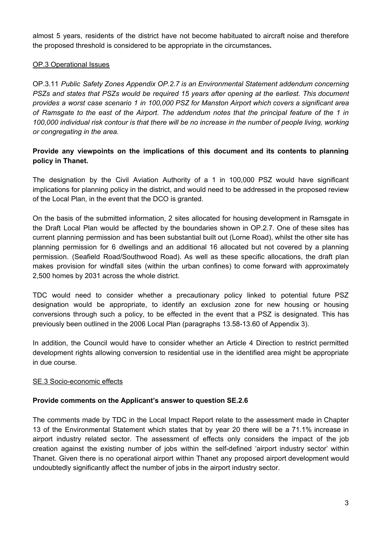almost 5 years, residents of the district have not become habituated to aircraft noise and therefore the proposed threshold is considered to be appropriate in the circumstances**.**

## OP.3 Operational Issues

OP.3.11 *Public Safety Zones Appendix OP.2.7 is an Environmental Statement addendum concerning PSZs and states that PSZs would be required 15 years after opening at the earliest. This document provides a worst case scenario 1 in 100,000 PSZ for Manston Airport which covers a significant area* of Ramsgate to the east of the Airport. The addendum notes that the principal feature of the 1 in 100,000 individual risk contour is that there will be no increase in the number of people living, working *or congregating in the area.*

## **Provide any viewpoints on the implications of this document and its contents to planning policy in Thanet.**

The designation by the Civil Aviation Authority of a 1 in 100,000 PSZ would have significant implications for planning policy in the district, and would need to be addressed in the proposed review of the Local Plan, in the event that the DCO is granted.

On the basis of the submitted information, 2 sites allocated for housing development in Ramsgate in the Draft Local Plan would be affected by the boundaries shown in OP.2.7. One of these sites has current planning permission and has been substantial built out (Lorne Road), whilst the other site has planning permission for 6 dwellings and an additional 16 allocated but not covered by a planning permission. (Seafield Road/Southwood Road). As well as these specific allocations, the draft plan makes provision for windfall sites (within the urban confines) to come forward with approximately 2,500 homes by 2031 across the whole district.

TDC would need to consider whether a precautionary policy linked to potential future PSZ designation would be appropriate, to identify an exclusion zone for new housing or housing conversions through such a policy, to be effected in the event that a PSZ is designated. This has previously been outlined in the 2006 Local Plan (paragraphs 13.58-13.60 of Appendix 3).

In addition, the Council would have to consider whether an Article 4 Direction to restrict permitted development rights allowing conversion to residential use in the identified area might be appropriate in due course.

## SE.3 Socio-economic effects

## **Provide comments on the Applicant's answer to question SE.2.6**

The comments made by TDC in the Local Impact Report relate to the assessment made in Chapter 13 of the Environmental Statement which states that by year 20 there will be a 71.1% increase in airport industry related sector. The assessment of effects only considers the impact of the job creation against the existing number of jobs within the self-defined 'airport industry sector' within Thanet. Given there is no operational airport within Thanet any proposed airport development would undoubtedly significantly affect the number of jobs in the airport industry sector.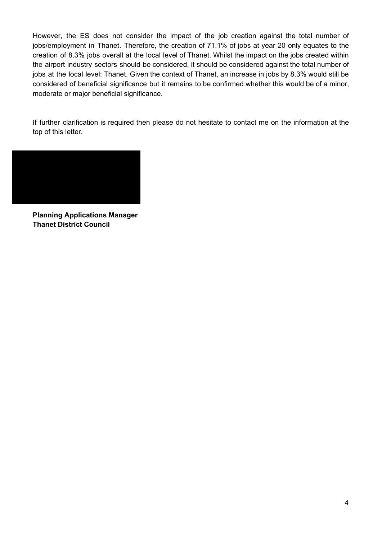However, the ES does not consider the impact of the job creation against the total number of jobs/employment in Thanet. Therefore, the creation of 71.1% of jobs at year 20 only equates to the creation of 8.3% jobs overall at the local level of Thanet. Whilst the impact on the jobs created within the airport industry sectors should be considered, it should be considered against the total number of jobs at the local level: Thanet. Given the context of Thanet, an increase in jobs by 8.3% would still be considered of beneficial significance but it remains to be confirmed whether this would be of a minor, moderate or major beneficial significance.

If further clarification is required then please do not hesitate to contact me on the information at the top of this letter.



**Planning Applications Manager Thanet District Council**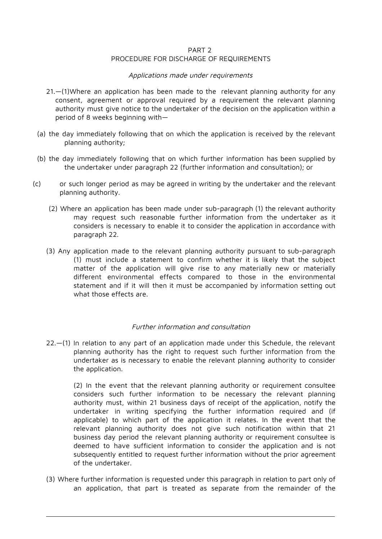#### PART 2

#### PROCEDURE FOR DISCHARGE OF REQUIREMENTS

#### Applications made under requirements

- 21.—(1)Where an application has been made to the relevant planning authority for any consent, agreement or approval required by a requirement the relevant planning authority must give notice to the undertaker of the decision on the application within a period of 8 weeks beginning with—
- (a) the day immediately following that on which the application is received by the relevant planning authority;
- (b) the day immediately following that on which further information has been supplied by the undertaker under paragraph 22 (further information and consultation); or
- (c) or such longer period as may be agreed in writing by the undertaker and the relevant planning authority.
	- (2) Where an application has been made under sub-paragraph (1) the relevant authority may request such reasonable further information from the undertaker as it considers is necessary to enable it to consider the application in accordance with paragraph 22.
	- (3) Any application made to the relevant planning authority pursuant to sub-paragraph (1) must include a statement to confirm whether it is likely that the subject matter of the application will give rise to any materially new or materially different environmental effects compared to those in the environmental statement and if it will then it must be accompanied by information setting out what those effects are.

#### Further information and consultation

22.—(1) In relation to any part of an application made under this Schedule, the relevant planning authority has the right to request such further information from the undertaker as is necessary to enable the relevant planning authority to consider the application.

(2) In the event that the relevant planning authority or requirement consultee considers such further information to be necessary the relevant planning authority must, within 21 business days of receipt of the application, notify the undertaker in writing specifying the further information required and (if applicable) to which part of the application it relates. In the event that the relevant planning authority does not give such notification within that 21 business day period the relevant planning authority or requirement consultee is deemed to have sufficient information to consider the application and is not subsequently entitled to request further information without the prior agreement of the undertaker.

(3) Where further information is requested under this paragraph in relation to part only of an application, that part is treated as separate from the remainder of the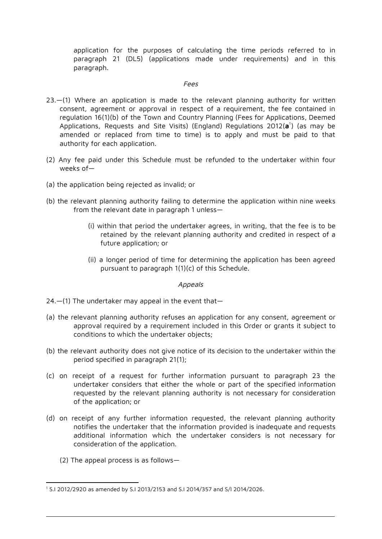application for the purposes of calculating the time periods referred to in paragraph 21 (DL5) (applications made under requirements) and in this paragraph.

#### Fees

- 23.—(1) Where an application is made to the relevant planning authority for written consent, agreement or approval in respect of a requirement, the fee contained in regulation 16(1)(b) of the Town and Country Planning (Fees for Applications, Deemed Applications, Requests and Site Visits) (England) Regulations 2012(**a**<sup>1</sup>) (as may be amended or replaced from time to time) is to apply and must be paid to that authority for each application.
- (2) Any fee paid under this Schedule must be refunded to the undertaker within four weeks of—
- (a) the application being rejected as invalid; or
- (b) the relevant planning authority failing to determine the application within nine weeks from the relevant date in paragraph 1 unless—
	- (i) within that period the undertaker agrees, in writing, that the fee is to be retained by the relevant planning authority and credited in respect of a future application; or
	- (ii) a longer period of time for determining the application has been agreed pursuant to paragraph 1(1)(c) of this Schedule.

Appeals

- 24.—(1) The undertaker may appeal in the event that—
- (a) the relevant planning authority refuses an application for any consent, agreement or approval required by a requirement included in this Order or grants it subject to conditions to which the undertaker objects;
- (b) the relevant authority does not give notice of its decision to the undertaker within the period specified in paragraph 21(1);
- (c) on receipt of a request for further information pursuant to paragraph 23 the undertaker considers that either the whole or part of the specified information requested by the relevant planning authority is not necessary for consideration of the application; or
- (d) on receipt of any further information requested, the relevant planning authority notifies the undertaker that the information provided is inadequate and requests additional information which the undertaker considers is not necessary for consideration of the application.
	- (2) The appeal process is as follows—

<sup>1</sup> S.I 2012/2920 as amended by S.I 2013/2153 and S.I 2014/357 and S/I 2014/2026.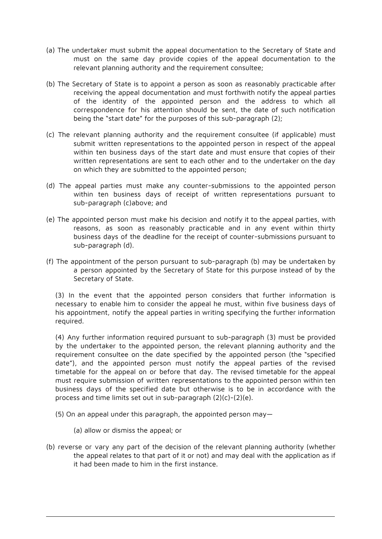- (a) The undertaker must submit the appeal documentation to the Secretary of State and must on the same day provide copies of the appeal documentation to the relevant planning authority and the requirement consultee;
- (b) The Secretary of State is to appoint a person as soon as reasonably practicable after receiving the appeal documentation and must forthwith notify the appeal parties of the identity of the appointed person and the address to which all correspondence for his attention should be sent, the date of such notification being the "start date" for the purposes of this sub-paragraph (2);
- (c) The relevant planning authority and the requirement consultee (if applicable) must submit written representations to the appointed person in respect of the appeal within ten business days of the start date and must ensure that copies of their written representations are sent to each other and to the undertaker on the day on which they are submitted to the appointed person;
- (d) The appeal parties must make any counter-submissions to the appointed person within ten business days of receipt of written representations pursuant to sub-paragraph (c)above; and
- (e) The appointed person must make his decision and notify it to the appeal parties, with reasons, as soon as reasonably practicable and in any event within thirty business days of the deadline for the receipt of counter-submissions pursuant to sub-paragraph (d).
- (f) The appointment of the person pursuant to sub-paragraph (b) may be undertaken by a person appointed by the Secretary of State for this purpose instead of by the Secretary of State.

(3) In the event that the appointed person considers that further information is necessary to enable him to consider the appeal he must, within five business days of his appointment, notify the appeal parties in writing specifying the further information required.

(4) Any further information required pursuant to sub-paragraph (3) must be provided by the undertaker to the appointed person, the relevant planning authority and the requirement consultee on the date specified by the appointed person (the "specified date"), and the appointed person must notify the appeal parties of the revised timetable for the appeal on or before that day. The revised timetable for the appeal must require submission of written representations to the appointed person within ten business days of the specified date but otherwise is to be in accordance with the process and time limits set out in sub-paragraph (2)(c)-(2)(e).

- (5) On an appeal under this paragraph, the appointed person may—
	- (a) allow or dismiss the appeal; or
- (b) reverse or vary any part of the decision of the relevant planning authority (whether the appeal relates to that part of it or not) and may deal with the application as if it had been made to him in the first instance.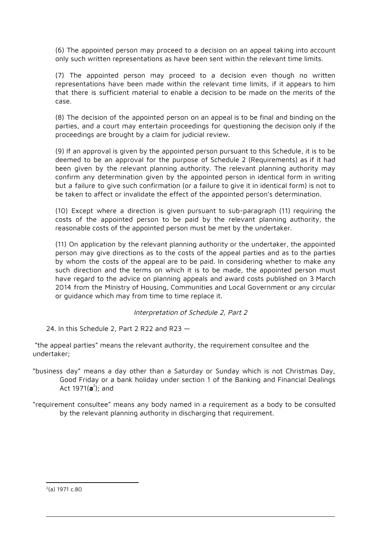(6) The appointed person may proceed to a decision on an appeal taking into account only such written representations as have been sent within the relevant time limits.

(7) The appointed person may proceed to a decision even though no written representations have been made within the relevant time limits, if it appears to him that there is sufficient material to enable a decision to be made on the merits of the case.

(8) The decision of the appointed person on an appeal is to be final and binding on the parties, and a court may entertain proceedings for questioning the decision only if the proceedings are brought by a claim for judicial review.

(9) If an approval is given by the appointed person pursuant to this Schedule, it is to be deemed to be an approval for the purpose of Schedule 2 (Requirements) as if it had been given by the relevant planning authority. The relevant planning authority may confirm any determination given by the appointed person in identical form in writing but a failure to give such confirmation (or a failure to give it in identical form) is not to be taken to affect or invalidate the effect of the appointed person's determination.

(10) Except where a direction is given pursuant to sub-paragraph (11) requiring the costs of the appointed person to be paid by the relevant planning authority, the reasonable costs of the appointed person must be met by the undertaker.

(11) On application by the relevant planning authority or the undertaker, the appointed person may give directions as to the costs of the appeal parties and as to the parties by whom the costs of the appeal are to be paid. In considering whether to make any such direction and the terms on which it is to be made, the appointed person must have regard to the advice on planning appeals and award costs published on 3 March 2014 from the Ministry of Housing, Communities and Local Government or any circular or guidance which may from time to time replace it.

## Interpretation of Schedule 2, Part 2

24. In this Schedule 2, Part 2 R22 and R23 —

"the appeal parties" means the relevant authority, the requirement consultee and the undertaker;

- "business day" means a day other than a Saturday or Sunday which is not Christmas Day, Good Friday or a bank holiday under section 1 of the Banking and Financial Dealings Act 1971(**a**<sup>2</sup>); and
- "requirement consultee" means any body named in a requirement as a body to be consulted by the relevant planning authority in discharging that requirement.

2 (a) 1971 c.80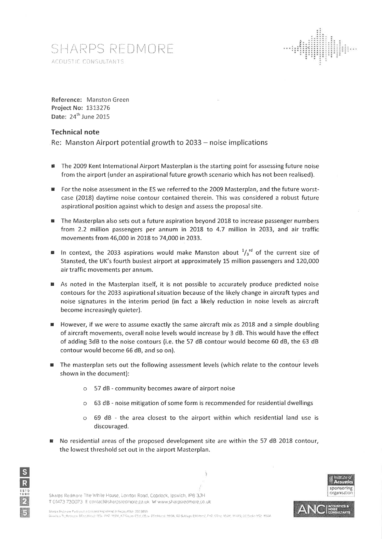# SHARPS REDMORE ACOUSTIC CONSULTANTS



Reference: Manston Green **Project No: 1313276** Date: 24<sup>th</sup> June 2015

#### **Technical note**

Re: Manston Airport potential growth to 2033 – noise implications

- The 2009 Kent International Airport Masterplan is the starting point for assessing future noise 幽 from the airport (under an aspirational future growth scenario which has not been realised).
- For the noise assessment in the ES we referred to the 2009 Masterplan, and the future worstcase (2018) daytime noise contour contained therein. This was considered a robust future aspirational position against which to design and assess the proposal site.
- The Masterplan also sets out a future aspiration beyond 2018 to increase passenger numbers from 2.2 million passengers per annum in 2018 to 4.7 million in 2033, and air traffic movements from 46,000 in 2018 to 74,000 in 2033.
- In context, the 2033 aspirations would make Manston about  $\frac{1}{3}$  of the current size of Stansted, the UK's fourth busiest airport at approximately 15 million passengers and 120,000 air traffic movements per annum.
- As noted in the Masterplan itself, it is not possible to accurately produce predicted noise contours for the 2033 aspirational situation because of the likely change in aircraft types and noise signatures in the interim period (in fact a likely reduction in noise levels as aircraft become increasingly quieter).
- However, if we were to assume exactly the same aircraft mix as 2018 and a simple doubling of aircraft movements, overall noise levels would increase by 3 dB. This would have the effect of adding 3dB to the noise contours (i.e. the 57 dB contour would become 60 dB, the 63 dB contour would become 66 dB, and so on).
- The masterplan sets out the following assessment levels (which relate to the contour levels shown in the document):
	- $\circ$  57 dB community becomes aware of airport noise
	- 63 dB noise mitigation of some form is recommended for residential dwellings  $\circ$
	- 69 dB the area closest to the airport within which residential land use is  $\Omega$ discouraged.
- No residential areas of the proposed development site are within the 57 dB 2018 contour,  $\blacksquare$ the lowest threshold set out in the airport Masterplan.







sponsoring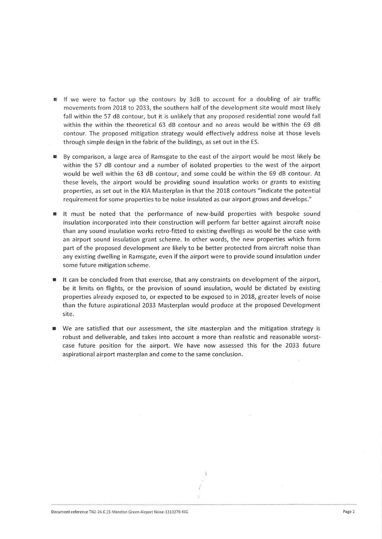- If we were to factor up the contours by 3dB to account for a doubling of air traffic 图 movements from 2018 to 2033, the southern half of the development site would most likely fall within the 57 dB contour, but it is unlikely that any proposed residential zone would fall within the within the theoretical 63 dB contour and no areas would be within the 69 dB contour. The proposed mitigation strategy would effectively address noise at those levels through simple design in the fabric of the buildings, as set out in the ES.
- By comparison, a large area of Ramsgate to the east of the airport would be most likely be within the 57 dB contour and a number of isolated properties to the west of the airport would be well within the 63 dB contour, and some could be within the 69 dB contour. At these levels, the airport would be providing sound insulation works or grants to existing properties, as set out in the KIA Masterplan in that the 2018 contours "indicate the potential requirement for some properties to be noise insulated as our airport grows and develops."
- It must be noted that the performance of new-build properties with bespoke sound insulation incorporated into their construction will perform far better against aircraft noise than any sound insulation works retro-fitted to existing dwellings as would be the case with an airport sound insulation grant scheme. In other words, the new properties which form part of the proposed development are likely to be better protected from aircraft noise than any existing dwelling in Ramsgate, even if the airport were to provide sound insulation under some future mitigation scheme.
- It can be concluded from that exercise, that any constraints on development of the airport, be it limits on flights, or the provision of sound insulation, would be dictated by existing properties already exposed to, or expected to be exposed to in 2018, greater levels of noise than the future aspirational 2033 Masterplan would produce at the proposed Development site.
- We are satisfied that our assessment, the site masterplan and the mitigation strategy is robust and deliverable, and takes into account a more than realistic and reasonable worstcase future position for the airport. We have now assessed this for the 2033 future aspirational airport masterplan and come to the same conclusion.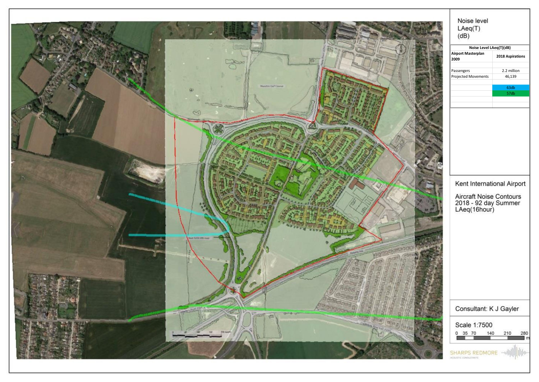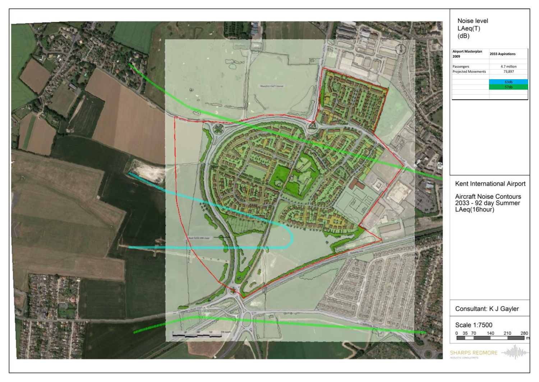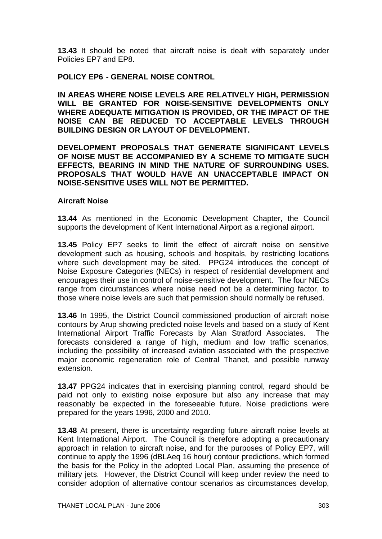**13.43** It should be noted that aircraft noise is dealt with separately under Policies EP7 and EP8.

## **POLICY EP6 - GENERAL NOISE CONTROL**

**IN AREAS WHERE NOISE LEVELS ARE RELATIVELY HIGH, PERMISSION WILL BE GRANTED FOR NOISE-SENSITIVE DEVELOPMENTS ONLY WHERE ADEQUATE MITIGATION IS PROVIDED, OR THE IMPACT OF THE NOISE CAN BE REDUCED TO ACCEPTABLE LEVELS THROUGH BUILDING DESIGN OR LAYOUT OF DEVELOPMENT.** 

**DEVELOPMENT PROPOSALS THAT GENERATE SIGNIFICANT LEVELS OF NOISE MUST BE ACCOMPANIED BY A SCHEME TO MITIGATE SUCH EFFECTS, BEARING IN MIND THE NATURE OF SURROUNDING USES. PROPOSALS THAT WOULD HAVE AN UNACCEPTABLE IMPACT ON NOISE-SENSITIVE USES WILL NOT BE PERMITTED.** 

## **Aircraft Noise**

**13.44** As mentioned in the Economic Development Chapter, the Council supports the development of Kent International Airport as a regional airport.

**13.45** Policy EP7 seeks to limit the effect of aircraft noise on sensitive development such as housing, schools and hospitals, by restricting locations where such development may be sited. PPG24 introduces the concept of Noise Exposure Categories (NECs) in respect of residential development and encourages their use in control of noise-sensitive development. The four NECs range from circumstances where noise need not be a determining factor, to those where noise levels are such that permission should normally be refused.

**13.46** In 1995, the District Council commissioned production of aircraft noise contours by Arup showing predicted noise levels and based on a study of Kent International Airport Traffic Forecasts by Alan Stratford Associates. The forecasts considered a range of high, medium and low traffic scenarios, including the possibility of increased aviation associated with the prospective major economic regeneration role of Central Thanet, and possible runway extension.

**13.47** PPG24 indicates that in exercising planning control, regard should be paid not only to existing noise exposure but also any increase that may reasonably be expected in the foreseeable future. Noise predictions were prepared for the years 1996, 2000 and 2010.

**13.48** At present, there is uncertainty regarding future aircraft noise levels at Kent International Airport. The Council is therefore adopting a precautionary approach in relation to aircraft noise, and for the purposes of Policy EP7, will continue to apply the 1996 (dBLAeq 16 hour) contour predictions, which formed the basis for the Policy in the adopted Local Plan, assuming the presence of military jets. However, the District Council will keep under review the need to consider adoption of alternative contour scenarios as circumstances develop,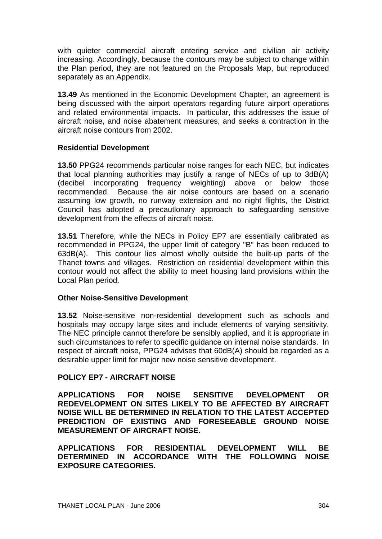with quieter commercial aircraft entering service and civilian air activity increasing. Accordingly, because the contours may be subject to change within the Plan period, they are not featured on the Proposals Map, but reproduced separately as an Appendix.

**13.49** As mentioned in the Economic Development Chapter, an agreement is being discussed with the airport operators regarding future airport operations and related environmental impacts. In particular, this addresses the issue of aircraft noise, and noise abatement measures, and seeks a contraction in the aircraft noise contours from 2002.

## **Residential Development**

**13.50** PPG24 recommends particular noise ranges for each NEC, but indicates that local planning authorities may justify a range of NECs of up to 3dB(A) (decibel incorporating frequency weighting) above or below those recommended. Because the air noise contours are based on a scenario assuming low growth, no runway extension and no night flights, the District Council has adopted a precautionary approach to safeguarding sensitive development from the effects of aircraft noise.

**13.51** Therefore, while the NECs in Policy EP7 are essentially calibrated as recommended in PPG24, the upper limit of category "B" has been reduced to 63dB(A). This contour lies almost wholly outside the built-up parts of the Thanet towns and villages. Restriction on residential development within this contour would not affect the ability to meet housing land provisions within the Local Plan period.

## **Other Noise-Sensitive Development**

**13.52** Noise-sensitive non-residential development such as schools and hospitals may occupy large sites and include elements of varying sensitivity. The NEC principle cannot therefore be sensibly applied, and it is appropriate in such circumstances to refer to specific guidance on internal noise standards. In respect of aircraft noise, PPG24 advises that 60dB(A) should be regarded as a desirable upper limit for major new noise sensitive development.

## **POLICY EP7 - AIRCRAFT NOISE**

**APPLICATIONS FOR NOISE SENSITIVE DEVELOPMENT OR REDEVELOPMENT ON SITES LIKELY TO BE AFFECTED BY AIRCRAFT NOISE WILL BE DETERMINED IN RELATION TO THE LATEST ACCEPTED PREDICTION OF EXISTING AND FORESEEABLE GROUND NOISE MEASUREMENT OF AIRCRAFT NOISE.** 

**APPLICATIONS FOR RESIDENTIAL DEVELOPMENT WILL BE DETERMINED IN ACCORDANCE WITH THE FOLLOWING NOISE EXPOSURE CATEGORIES.**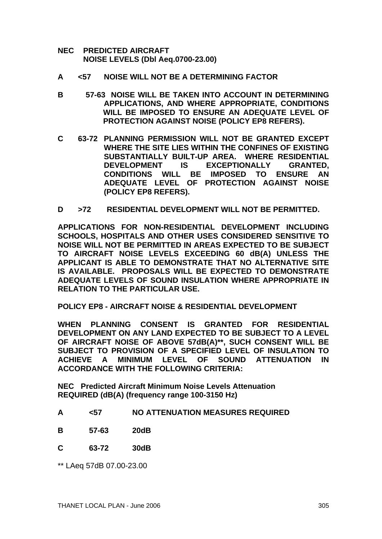- **NEC PREDICTED AIRCRAFT NOISE LEVELS (Dbl Aeq.0700-23.00)**
- **A <57 NOISE WILL NOT BE A DETERMINING FACTOR**
- **B 57-63 NOISE WILL BE TAKEN INTO ACCOUNT IN DETERMINING APPLICATIONS, AND WHERE APPROPRIATE, CONDITIONS WILL BE IMPOSED TO ENSURE AN ADEQUATE LEVEL OF PROTECTION AGAINST NOISE (POLICY EP8 REFERS).**
- **C 63-72 PLANNING PERMISSION WILL NOT BE GRANTED EXCEPT WHERE THE SITE LIES WITHIN THE CONFINES OF EXISTING SUBSTANTIALLY BUILT-UP AREA. WHERE RESIDENTIAL DEVELOPMENT IS EXCEPTIONALLY GRANTED, CONDITIONS WILL BE IMPOSED TO ENSURE AN ADEQUATE LEVEL OF PROTECTION AGAINST NOISE (POLICY EP8 REFERS).**
- **D >72 RESIDENTIAL DEVELOPMENT WILL NOT BE PERMITTED.**

**APPLICATIONS FOR NON-RESIDENTIAL DEVELOPMENT INCLUDING SCHOOLS, HOSPITALS AND OTHER USES CONSIDERED SENSITIVE TO NOISE WILL NOT BE PERMITTED IN AREAS EXPECTED TO BE SUBJECT TO AIRCRAFT NOISE LEVELS EXCEEDING 60 dB(A) UNLESS THE APPLICANT IS ABLE TO DEMONSTRATE THAT NO ALTERNATIVE SITE IS AVAILABLE. PROPOSALS WILL BE EXPECTED TO DEMONSTRATE ADEQUATE LEVELS OF SOUND INSULATION WHERE APPROPRIATE IN RELATION TO THE PARTICULAR USE.**

**POLICY EP8 - AIRCRAFT NOISE & RESIDENTIAL DEVELOPMENT** 

**WHEN PLANNING CONSENT IS GRANTED FOR RESIDENTIAL DEVELOPMENT ON ANY LAND EXPECTED TO BE SUBJECT TO A LEVEL OF AIRCRAFT NOISE OF ABOVE 57dB(A)\*\*, SUCH CONSENT WILL BE SUBJECT TO PROVISION OF A SPECIFIED LEVEL OF INSULATION TO ACHIEVE A MINIMUM LEVEL OF SOUND ATTENUATION IN ACCORDANCE WITH THE FOLLOWING CRITERIA:** 

**NEC Predicted Aircraft Minimum Noise Levels Attenuation REQUIRED (dB(A) (frequency range 100-3150 Hz)** 

- **A <57 NO ATTENUATION MEASURES REQUIRED**
- **B 57-63 20dB**
- **C 63-72 30dB**

\*\* LAeq 57dB 07.00-23.00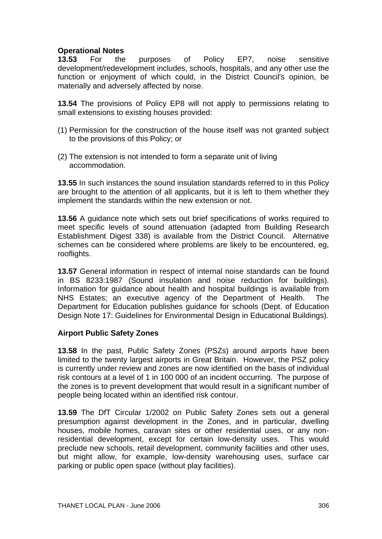# **Operational Notes**

**13.53** For the purposes of Policy EP7, noise sensitive development/redevelopment includes, schools, hospitals, and any other use the function or enjoyment of which could, in the District Council's opinion, be materially and adversely affected by noise.

**13.54** The provisions of Policy EP8 will not apply to permissions relating to small extensions to existing houses provided:

- (1) Permission for the construction of the house itself was not granted subject to the provisions of this Policy; or
- (2) The extension is not intended to form a separate unit of living accommodation.

**13.55** In such instances the sound insulation standards referred to in this Policy are brought to the attention of all applicants, but it is left to them whether they implement the standards within the new extension or not.

**13.56** A guidance note which sets out brief specifications of works required to meet specific levels of sound attenuation (adapted from Building Research Establishment Digest 338) is available from the District Council. Alternative schemes can be considered where problems are likely to be encountered, eg, rooflights.

**13.57** General information in respect of internal noise standards can be found in BS 8233:1987 (Sound insulation and noise reduction for buildings). Information for guidance about health and hospital buildings is available from NHS Estates; an executive agency of the Department of Health. The Department for Education publishes guidance for schools (Dept. of Education Design Note 17: Guidelines for Environmental Design in Educational Buildings).

## **Airport Public Safety Zones**

**13.58** In the past, Public Safety Zones (PSZs) around airports have been limited to the twenty largest airports in Great Britain. However, the PSZ policy is currently under review and zones are now identified on the basis of individual risk contours at a level of 1 in 100 000 of an incident occurring. The purpose of the zones is to prevent development that would result in a significant number of people being located within an identified risk contour.

**13.59** The DfT Circular 1/2002 on Public Safety Zones sets out a general presumption against development in the Zones, and in particular, dwelling houses, mobile homes, caravan sites or other residential uses, or any nonresidential development, except for certain low-density uses. This would preclude new schools, retail development, community facilities and other uses, but might allow, for example, low-density warehousing uses, surface car parking or public open space (without play facilities).